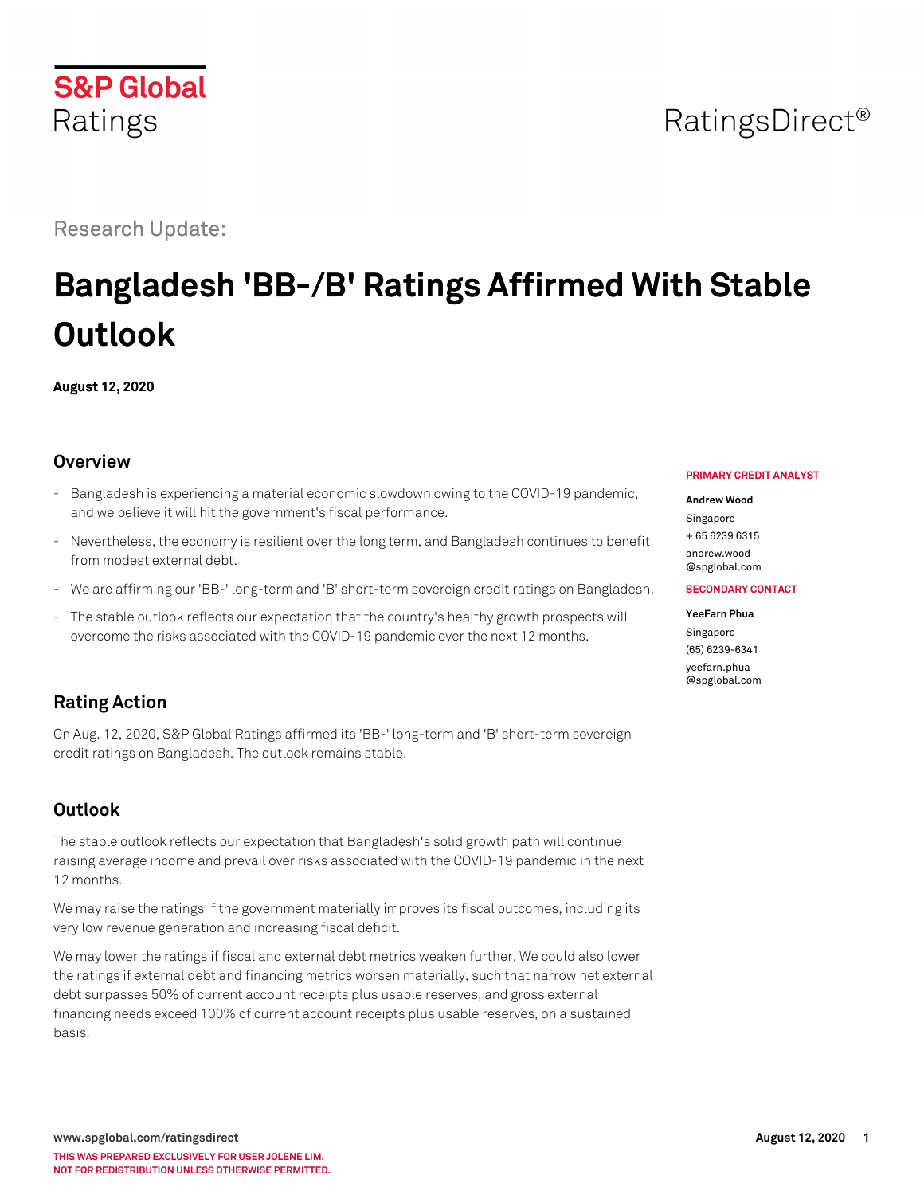# RatingsDirect<sup>®</sup>

Research Update:

# **Bangladesh 'BB-/B' Ratings Affirmed With Stable Outlook**

**August 12, 2020**

## **Overview**

- Bangladesh is experiencing a material economic slowdown owing to the COVID-19 pandemic, and we believe it will hit the government's fiscal performance.
- Nevertheless, the economy is resilient over the long term, and Bangladesh continues to benefit from modest external debt.
- We are affirming our 'BB-' long-term and 'B' short-term sovereign credit ratings on Bangladesh.
- The stable outlook reflects our expectation that the country's healthy growth prospects will overcome the risks associated with the COVID-19 pandemic over the next 12 months.

## **Rating Action**

On Aug. 12, 2020, S&P Global Ratings affirmed its 'BB-' long-term and 'B' short-term sovereign credit ratings on Bangladesh. The outlook remains stable.

## **Outlook**

The stable outlook reflects our expectation that Bangladesh's solid growth path will continue raising average income and prevail over risks associated with the COVID-19 pandemic in the next 12 months.

We may raise the ratings if the government materially improves its fiscal outcomes, including its very low revenue generation and increasing fiscal deficit.

We may lower the ratings if fiscal and external debt metrics weaken further. We could also lower the ratings if external debt and financing metrics worsen materially, such that narrow net external debt surpasses 50% of current account receipts plus usable reserves, and gross external financing needs exceed 100% of current account receipts plus usable reserves, on a sustained basis.

#### **PRIMARY CREDIT ANALYST**

#### **Andrew Wood**

Singapore + 65 6239 6315

[andrew.wood](mailto:andrew.wood@spglobal.com) [@spglobal.com](mailto:andrew.wood@spglobal.com)

#### **SECONDARY CONTACT**

#### **YeeFarn Phua** Singapore (65) 6239-6341 [yeefarn.phua](mailto:yeefarn.phua@spglobal.com) [@spglobal.com](mailto:yeefarn.phua@spglobal.com)

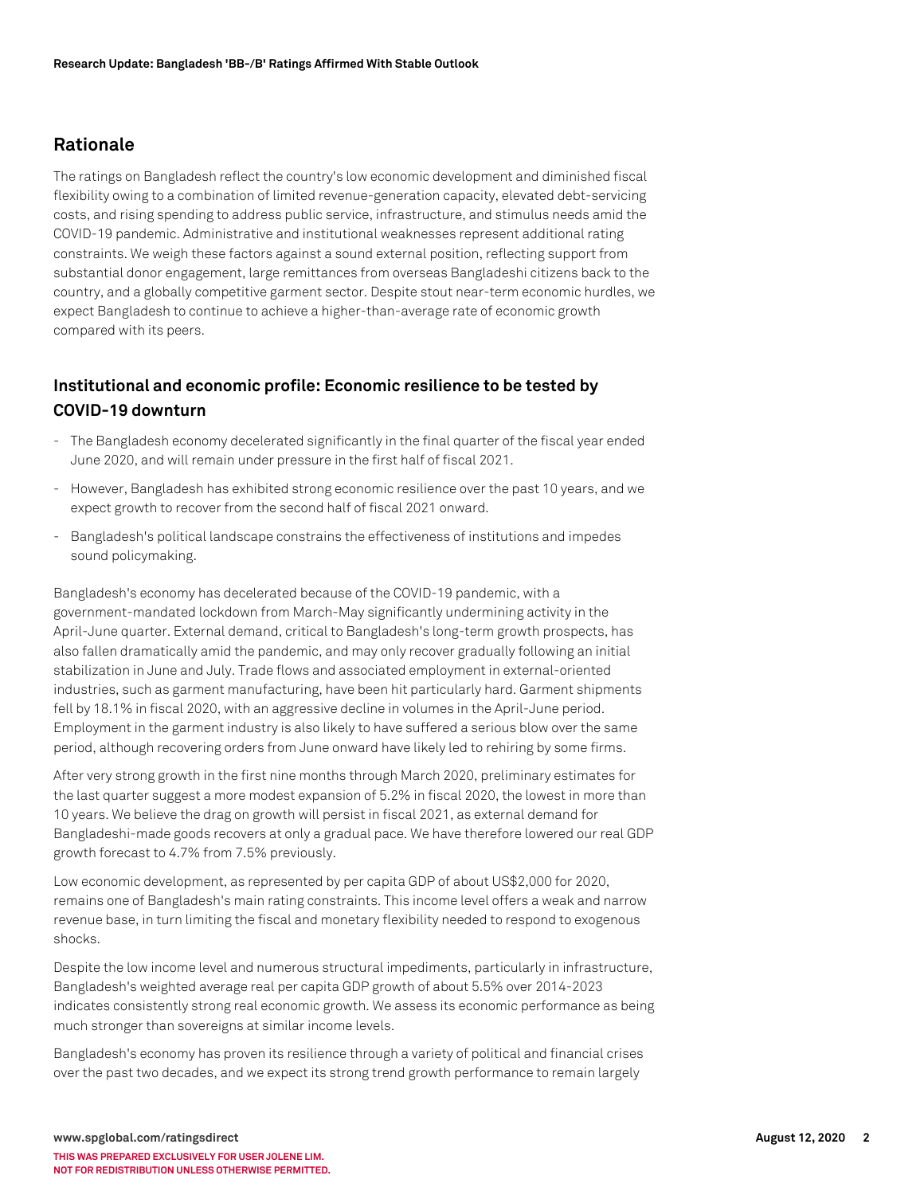## **Rationale**

The ratings on Bangladesh reflect the country's low economic development and diminished fiscal flexibility owing to a combination of limited revenue-generation capacity, elevated debt-servicing costs, and rising spending to address public service, infrastructure, and stimulus needs amid the COVID-19 pandemic. Administrative and institutional weaknesses represent additional rating constraints. We weigh these factors against a sound external position, reflecting support from substantial donor engagement, large remittances from overseas Bangladeshi citizens back to the country, and a globally competitive garment sector. Despite stout near-term economic hurdles, we expect Bangladesh to continue to achieve a higher-than-average rate of economic growth compared with its peers.

## **Institutional and economic profile: Economic resilience to be tested by COVID-19 downturn**

- The Bangladesh economy decelerated significantly in the final quarter of the fiscal year ended June 2020, and will remain under pressure in the first half of fiscal 2021.
- However, Bangladesh has exhibited strong economic resilience over the past 10 years, and we expect growth to recover from the second half of fiscal 2021 onward.
- Bangladesh's political landscape constrains the effectiveness of institutions and impedes sound policymaking.

Bangladesh's economy has decelerated because of the COVID-19 pandemic, with a government-mandated lockdown from March-May significantly undermining activity in the April-June quarter. External demand, critical to Bangladesh's long-term growth prospects, has also fallen dramatically amid the pandemic, and may only recover gradually following an initial stabilization in June and July. Trade flows and associated employment in external-oriented industries, such as garment manufacturing, have been hit particularly hard. Garment shipments fell by 18.1% in fiscal 2020, with an aggressive decline in volumes in the April-June period. Employment in the garment industry is also likely to have suffered a serious blow over the same period, although recovering orders from June onward have likely led to rehiring by some firms.

After very strong growth in the first nine months through March 2020, preliminary estimates for the last quarter suggest a more modest expansion of 5.2% in fiscal 2020, the lowest in more than 10 years. We believe the drag on growth will persist in fiscal 2021, as external demand for Bangladeshi-made goods recovers at only a gradual pace. We have therefore lowered our real GDP growth forecast to 4.7% from 7.5% previously.

Low economic development, as represented by per capita GDP of about US\$2,000 for 2020, remains one of Bangladesh's main rating constraints. This income level offers a weak and narrow revenue base, in turn limiting the fiscal and monetary flexibility needed to respond to exogenous shocks.

Despite the low income level and numerous structural impediments, particularly in infrastructure, Bangladesh's weighted average real per capita GDP growth of about 5.5% over 2014-2023 indicates consistently strong real economic growth. We assess its economic performance as being much stronger than sovereigns at similar income levels.

Bangladesh's economy has proven its resilience through a variety of political and financial crises over the past two decades, and we expect its strong trend growth performance to remain largely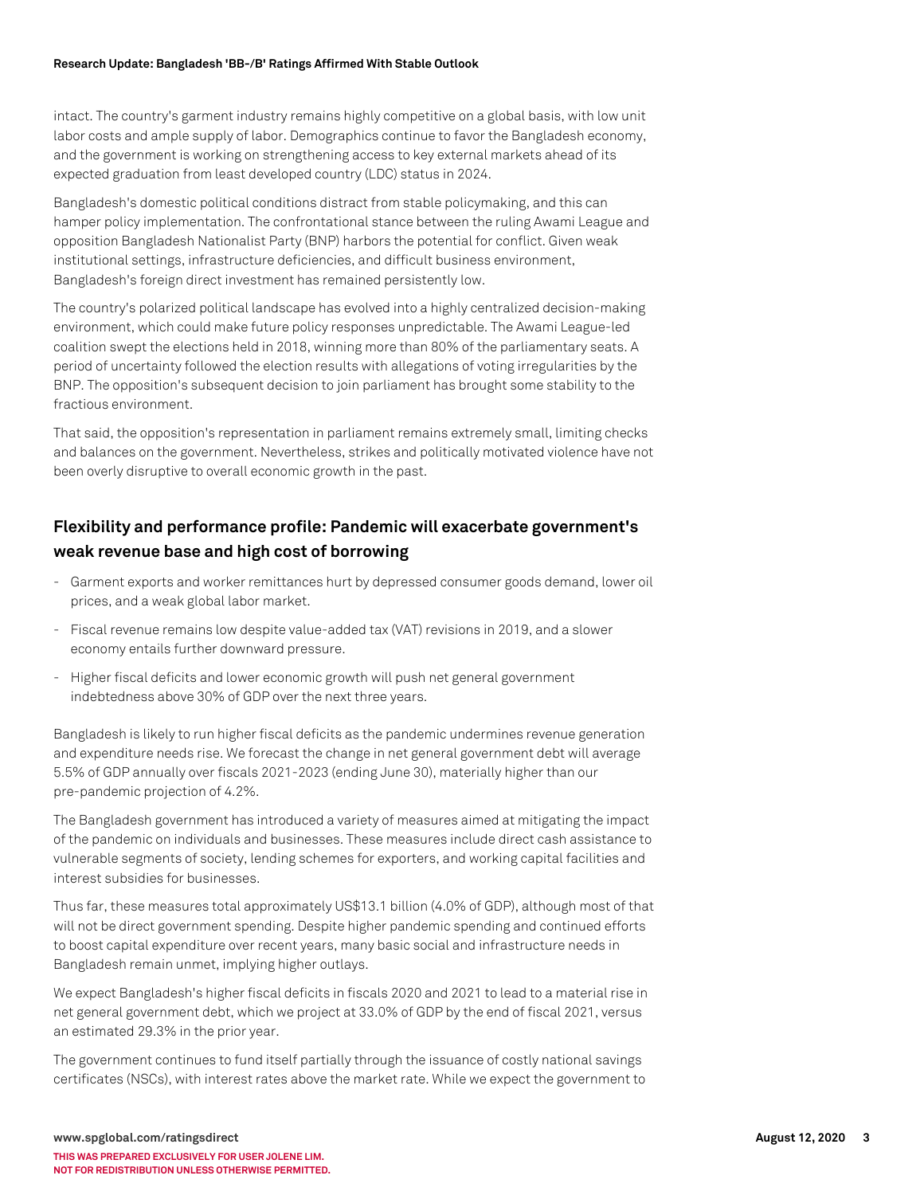#### **Research Update: Bangladesh 'BB-/B' Ratings Affirmed With Stable Outlook**

intact. The country's garment industry remains highly competitive on a global basis, with low unit labor costs and ample supply of labor. Demographics continue to favor the Bangladesh economy, and the government is working on strengthening access to key external markets ahead of its expected graduation from least developed country (LDC) status in 2024.

Bangladesh's domestic political conditions distract from stable policymaking, and this can hamper policy implementation. The confrontational stance between the ruling Awami League and opposition Bangladesh Nationalist Party (BNP) harbors the potential for conflict. Given weak institutional settings, infrastructure deficiencies, and difficult business environment, Bangladesh's foreign direct investment has remained persistently low.

The country's polarized political landscape has evolved into a highly centralized decision-making environment, which could make future policy responses unpredictable. The Awami League-led coalition swept the elections held in 2018, winning more than 80% of the parliamentary seats. A period of uncertainty followed the election results with allegations of voting irregularities by the BNP. The opposition's subsequent decision to join parliament has brought some stability to the fractious environment.

That said, the opposition's representation in parliament remains extremely small, limiting checks and balances on the government. Nevertheless, strikes and politically motivated violence have not been overly disruptive to overall economic growth in the past.

## **Flexibility and performance profile: Pandemic will exacerbate government's weak revenue base and high cost of borrowing**

- Garment exports and worker remittances hurt by depressed consumer goods demand, lower oil prices, and a weak global labor market.
- Fiscal revenue remains low despite value-added tax (VAT) revisions in 2019, and a slower economy entails further downward pressure.
- Higher fiscal deficits and lower economic growth will push net general government indebtedness above 30% of GDP over the next three years.

Bangladesh is likely to run higher fiscal deficits as the pandemic undermines revenue generation and expenditure needs rise. We forecast the change in net general government debt will average 5.5% of GDP annually over fiscals 2021-2023 (ending June 30), materially higher than our pre-pandemic projection of 4.2%.

The Bangladesh government has introduced a variety of measures aimed at mitigating the impact of the pandemic on individuals and businesses. These measures include direct cash assistance to vulnerable segments of society, lending schemes for exporters, and working capital facilities and interest subsidies for businesses.

Thus far, these measures total approximately US\$13.1 billion (4.0% of GDP), although most of that will not be direct government spending. Despite higher pandemic spending and continued efforts to boost capital expenditure over recent years, many basic social and infrastructure needs in Bangladesh remain unmet, implying higher outlays.

We expect Bangladesh's higher fiscal deficits in fiscals 2020 and 2021 to lead to a material rise in net general government debt, which we project at 33.0% of GDP by the end of fiscal 2021, versus an estimated 29.3% in the prior year.

The government continues to fund itself partially through the issuance of costly national savings certificates (NSCs), with interest rates above the market rate. While we expect the government to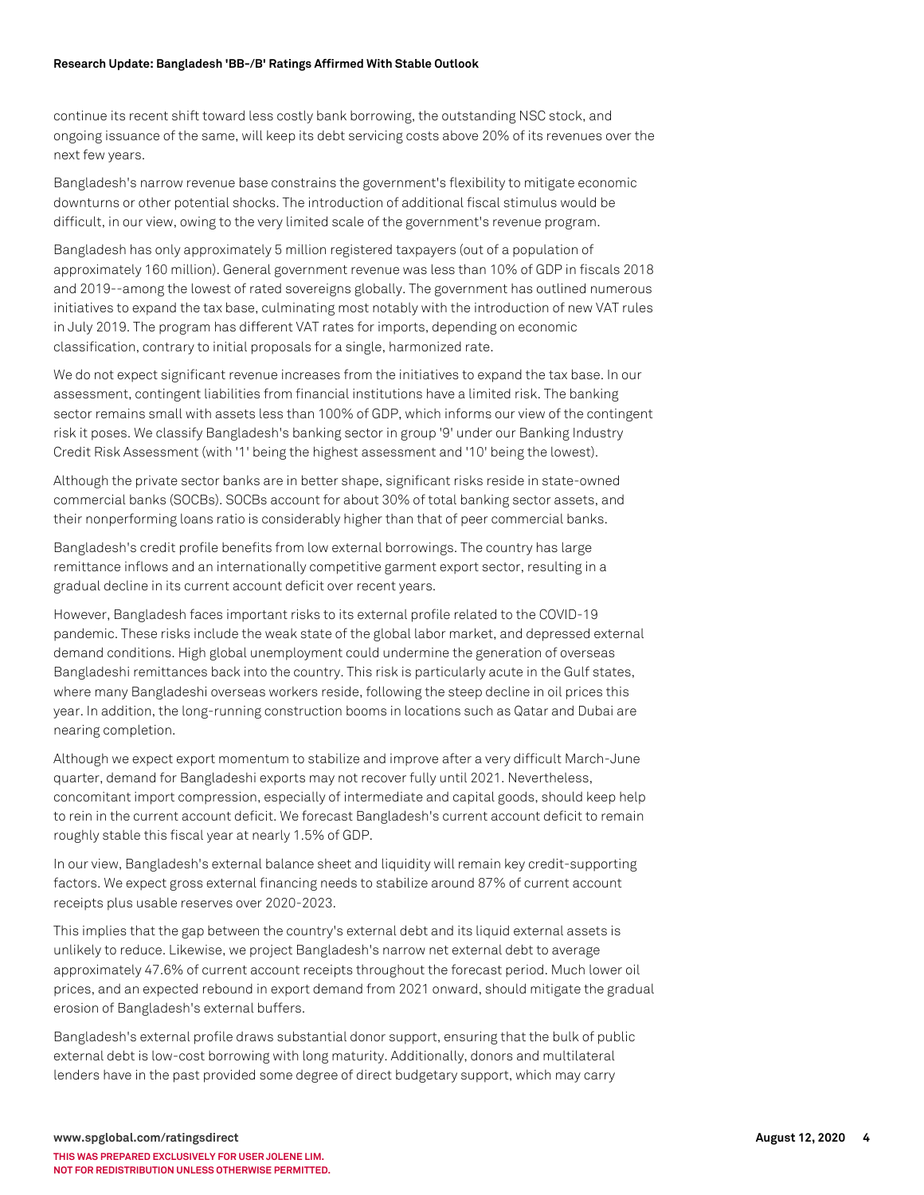#### **Research Update: Bangladesh 'BB-/B' Ratings Affirmed With Stable Outlook**

continue its recent shift toward less costly bank borrowing, the outstanding NSC stock, and ongoing issuance of the same, will keep its debt servicing costs above 20% of its revenues over the next few years.

Bangladesh's narrow revenue base constrains the government's flexibility to mitigate economic downturns or other potential shocks. The introduction of additional fiscal stimulus would be difficult, in our view, owing to the very limited scale of the government's revenue program.

Bangladesh has only approximately 5 million registered taxpayers (out of a population of approximately 160 million). General government revenue was less than 10% of GDP in fiscals 2018 and 2019--among the lowest of rated sovereigns globally. The government has outlined numerous initiatives to expand the tax base, culminating most notably with the introduction of new VAT rules in July 2019. The program has different VAT rates for imports, depending on economic classification, contrary to initial proposals for a single, harmonized rate.

We do not expect significant revenue increases from the initiatives to expand the tax base. In our assessment, contingent liabilities from financial institutions have a limited risk. The banking sector remains small with assets less than 100% of GDP, which informs our view of the contingent risk it poses. We classify Bangladesh's banking sector in group '9' under our Banking Industry Credit Risk Assessment (with '1' being the highest assessment and '10' being the lowest).

Although the private sector banks are in better shape, significant risks reside in state-owned commercial banks (SOCBs). SOCBs account for about 30% of total banking sector assets, and their nonperforming loans ratio is considerably higher than that of peer commercial banks.

Bangladesh's credit profile benefits from low external borrowings. The country has large remittance inflows and an internationally competitive garment export sector, resulting in a gradual decline in its current account deficit over recent years.

However, Bangladesh faces important risks to its external profile related to the COVID-19 pandemic. These risks include the weak state of the global labor market, and depressed external demand conditions. High global unemployment could undermine the generation of overseas Bangladeshi remittances back into the country. This risk is particularly acute in the Gulf states, where many Bangladeshi overseas workers reside, following the steep decline in oil prices this year. In addition, the long-running construction booms in locations such as Qatar and Dubai are nearing completion.

Although we expect export momentum to stabilize and improve after a very difficult March-June quarter, demand for Bangladeshi exports may not recover fully until 2021. Nevertheless, concomitant import compression, especially of intermediate and capital goods, should keep help to rein in the current account deficit. We forecast Bangladesh's current account deficit to remain roughly stable this fiscal year at nearly 1.5% of GDP.

In our view, Bangladesh's external balance sheet and liquidity will remain key credit-supporting factors. We expect gross external financing needs to stabilize around 87% of current account receipts plus usable reserves over 2020-2023.

This implies that the gap between the country's external debt and its liquid external assets is unlikely to reduce. Likewise, we project Bangladesh's narrow net external debt to average approximately 47.6% of current account receipts throughout the forecast period. Much lower oil prices, and an expected rebound in export demand from 2021 onward, should mitigate the gradual erosion of Bangladesh's external buffers.

Bangladesh's external profile draws substantial donor support, ensuring that the bulk of public external debt is low-cost borrowing with long maturity. Additionally, donors and multilateral lenders have in the past provided some degree of direct budgetary support, which may carry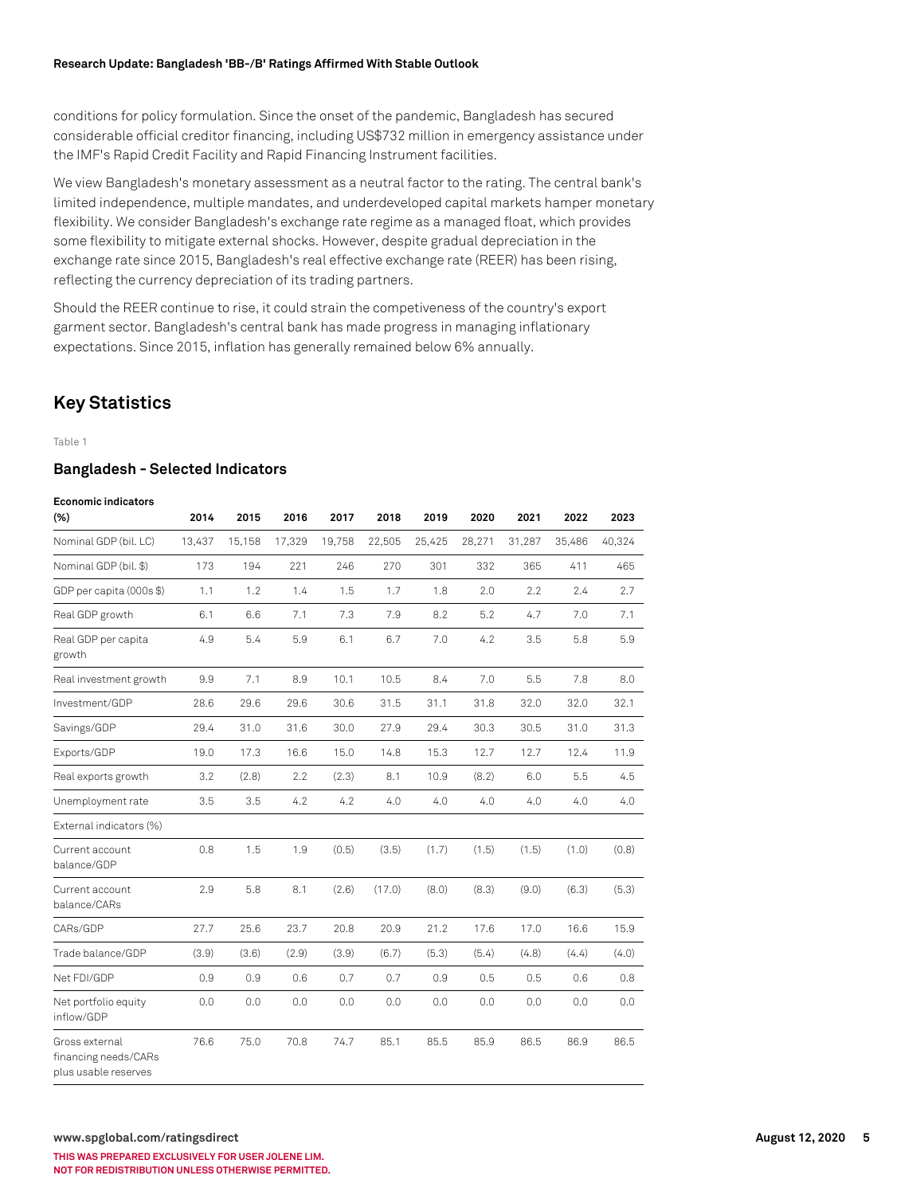#### **Research Update: Bangladesh 'BB-/B' Ratings Affirmed With Stable Outlook**

conditions for policy formulation. Since the onset of the pandemic, Bangladesh has secured considerable official creditor financing, including US\$732 million in emergency assistance under the IMF's Rapid Credit Facility and Rapid Financing Instrument facilities.

We view Bangladesh's monetary assessment as a neutral factor to the rating. The central bank's limited independence, multiple mandates, and underdeveloped capital markets hamper monetary flexibility. We consider Bangladesh's exchange rate regime as a managed float, which provides some flexibility to mitigate external shocks. However, despite gradual depreciation in the exchange rate since 2015, Bangladesh's real effective exchange rate (REER) has been rising, reflecting the currency depreciation of its trading partners.

Should the REER continue to rise, it could strain the competiveness of the country's export garment sector. Bangladesh's central bank has made progress in managing inflationary expectations. Since 2015, inflation has generally remained below 6% annually.

## **Key Statistics**

Table 1

#### **Bangladesh - Selected Indicators**

#### **Economic indicators**

| $(\%)$                                                         | 2014   | 2015   | 2016   | 2017   | 2018   | 2019   | 2020   | 2021   | 2022   | 2023   |
|----------------------------------------------------------------|--------|--------|--------|--------|--------|--------|--------|--------|--------|--------|
| Nominal GDP (bil. LC)                                          | 13,437 | 15,158 | 17,329 | 19,758 | 22,505 | 25,425 | 28,271 | 31,287 | 35,486 | 40,324 |
| Nominal GDP (bil. \$)                                          | 173    | 194    | 221    | 246    | 270    | 301    | 332    | 365    | 411    | 465    |
| GDP per capita (000s \$)                                       | 1.1    | 1.2    | 1.4    | 1.5    | 1.7    | 1.8    | 2.0    | 2.2    | 2.4    | 2.7    |
| Real GDP growth                                                | 6.1    | 6.6    | 7.1    | 7.3    | 7.9    | 8.2    | 5.2    | 4.7    | 7.0    | 7.1    |
| Real GDP per capita<br>growth                                  | 4.9    | 5.4    | 5.9    | 6.1    | 6.7    | 7.0    | 4.2    | 3.5    | 5.8    | 5.9    |
| Real investment growth                                         | 9.9    | 7.1    | 8.9    | 10.1   | 10.5   | 8.4    | 7.0    | 5.5    | 7.8    | 8.0    |
| Investment/GDP                                                 | 28.6   | 29.6   | 29.6   | 30.6   | 31.5   | 31.1   | 31.8   | 32.0   | 32.0   | 32.1   |
| Savings/GDP                                                    | 29.4   | 31.0   | 31.6   | 30.0   | 27.9   | 29.4   | 30.3   | 30.5   | 31.0   | 31.3   |
| Exports/GDP                                                    | 19.0   | 17.3   | 16.6   | 15.0   | 14.8   | 15.3   | 12.7   | 12.7   | 12.4   | 11.9   |
| Real exports growth                                            | 3.2    | (2.8)  | 2.2    | (2.3)  | 8.1    | 10.9   | (8.2)  | 6.0    | 5.5    | 4.5    |
| Unemployment rate                                              | 3.5    | 3.5    | 4.2    | 4.2    | 4.0    | 4.0    | 4.0    | 4.0    | 4.0    | 4.0    |
| External indicators (%)                                        |        |        |        |        |        |        |        |        |        |        |
| Current account<br>balance/GDP                                 | 0.8    | 1.5    | 1.9    | (0.5)  | (3.5)  | (1.7)  | (1.5)  | (1.5)  | (1.0)  | (0.8)  |
| Current account<br>balance/CARs                                | 2.9    | 5.8    | 8.1    | (2.6)  | (17.0) | (8.0)  | (8.3)  | (9.0)  | (6.3)  | (5.3)  |
| CARs/GDP                                                       | 27.7   | 25.6   | 23.7   | 20.8   | 20.9   | 21.2   | 17.6   | 17.0   | 16.6   | 15.9   |
| Trade balance/GDP                                              | (3.9)  | (3.6)  | (2.9)  | (3.9)  | (6.7)  | (5.3)  | (5.4)  | (4.8)  | (4.4)  | (4.0)  |
| Net FDI/GDP                                                    | 0.9    | 0.9    | 0.6    | 0.7    | 0.7    | 0.9    | 0.5    | 0.5    | 0.6    | 0.8    |
| Net portfolio equity<br>inflow/GDP                             | 0.0    | 0.0    | 0.0    | 0.0    | 0.0    | 0.0    | 0.0    | 0.0    | 0.0    | 0.0    |
| Gross external<br>financing needs/CARs<br>plus usable reserves | 76.6   | 75.0   | 70.8   | 74.7   | 85.1   | 85.5   | 85.9   | 86.5   | 86.9   | 86.5   |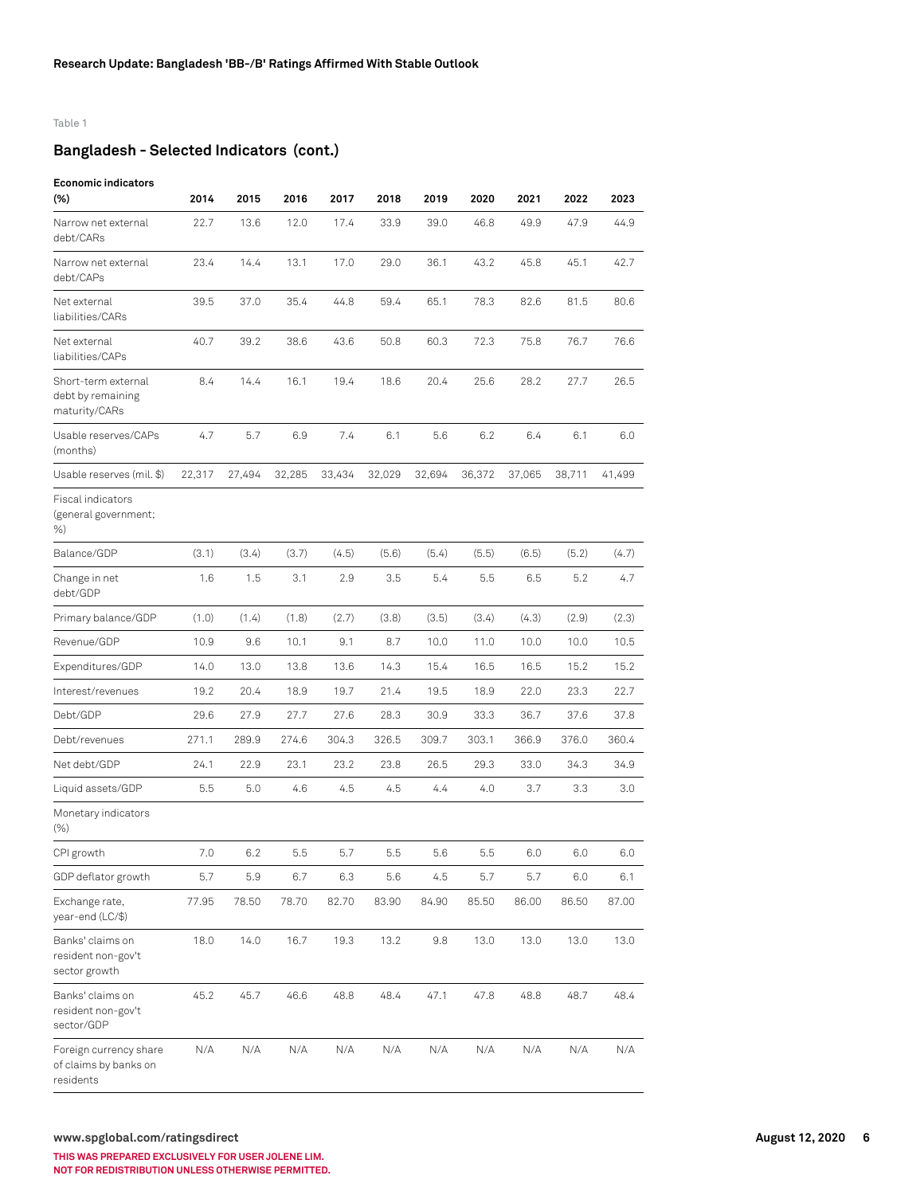#### Table 1

## **Bangladesh - Selected Indicators (cont.)**

#### **Economic indicators**

| $(\%)$                                                       | 2014   | 2015   | 2016   | 2017   | 2018   | 2019   | 2020   | 2021   | 2022   | 2023   |
|--------------------------------------------------------------|--------|--------|--------|--------|--------|--------|--------|--------|--------|--------|
| Narrow net external<br>debt/CARs                             | 22.7   | 13.6   | 12.0   | 17.4   | 33.9   | 39.0   | 46.8   | 49.9   | 47.9   | 44.9   |
| Narrow net external<br>debt/CAPs                             | 23.4   | 14.4   | 13.1   | 17.0   | 29.0   | 36.1   | 43.2   | 45.8   | 45.1   | 42.7   |
| Net external<br>liabilities/CARs                             | 39.5   | 37.0   | 35.4   | 44.8   | 59.4   | 65.1   | 78.3   | 82.6   | 81.5   | 80.6   |
| Net external<br>liabilities/CAPs                             | 40.7   | 39.2   | 38.6   | 43.6   | 50.8   | 60.3   | 72.3   | 75.8   | 76.7   | 76.6   |
| Short-term external<br>debt by remaining<br>maturity/CARs    | 8.4    | 14.4   | 16.1   | 19.4   | 18.6   | 20.4   | 25.6   | 28.2   | 27.7   | 26.5   |
| Usable reserves/CAPs<br>(months)                             | 4.7    | 5.7    | 6.9    | 7.4    | 6.1    | 5.6    | 6.2    | 6.4    | 6.1    | 6.0    |
| Usable reserves (mil. \$)                                    | 22,317 | 27,494 | 32,285 | 33,434 | 32,029 | 32,694 | 36,372 | 37,065 | 38,711 | 41,499 |
| Fiscal indicators<br>(general government;<br>%               |        |        |        |        |        |        |        |        |        |        |
| Balance/GDP                                                  | (3.1)  | (3.4)  | (3.7)  | (4.5)  | (5.6)  | (5.4)  | (5.5)  | (6.5)  | (5.2)  | (4.7)  |
| Change in net<br>debt/GDP                                    | 1.6    | 1.5    | 3.1    | 2.9    | 3.5    | 5.4    | 5.5    | 6.5    | 5.2    | 4.7    |
| Primary balance/GDP                                          | (1.0)  | (1.4)  | (1.8)  | (2.7)  | (3.8)  | (3.5)  | (3.4)  | (4.3)  | (2.9)  | (2.3)  |
| Revenue/GDP                                                  | 10.9   | 9.6    | 10.1   | 9.1    | 8.7    | 10.0   | 11.0   | 10.0   | 10.0   | 10.5   |
| Expenditures/GDP                                             | 14.0   | 13.0   | 13.8   | 13.6   | 14.3   | 15.4   | 16.5   | 16.5   | 15.2   | 15.2   |
| Interest/revenues                                            | 19.2   | 20.4   | 18.9   | 19.7   | 21.4   | 19.5   | 18.9   | 22.0   | 23.3   | 22.7   |
| Debt/GDP                                                     | 29.6   | 27.9   | 27.7   | 27.6   | 28.3   | 30.9   | 33.3   | 36.7   | 37.6   | 37.8   |
| Debt/revenues                                                | 271.1  | 289.9  | 274.6  | 304.3  | 326.5  | 309.7  | 303.1  | 366.9  | 376.0  | 360.4  |
| Net debt/GDP                                                 | 24.1   | 22.9   | 23.1   | 23.2   | 23.8   | 26.5   | 29.3   | 33.0   | 34.3   | 34.9   |
| Liquid assets/GDP                                            | 5.5    | 5.0    | 4.6    | 4.5    | 4.5    | 4.4    | 4.0    | 3.7    | 3.3    | 3.0    |
| Monetary indicators<br>$(\% )$                               |        |        |        |        |        |        |        |        |        |        |
| CPI growth                                                   | 7.0    | 6.2    | 5.5    | 5.7    | 5.5    | 5.6    | 5.5    | 6.0    | 6.0    | 6.0    |
| GDP deflator growth                                          | 5.7    | 5.9    | 6.7    | 6.3    | 5.6    | 4.5    | 5.7    | 5.7    | 6.0    | 6.1    |
| Exchange rate,<br>year-end (LC/\$)                           | 77.95  | 78.50  | 78.70  | 82.70  | 83.90  | 84.90  | 85.50  | 86.00  | 86.50  | 87.00  |
| Banks' claims on<br>resident non-gov't<br>sector growth      | 18.0   | 14.0   | 16.7   | 19.3   | 13.2   | 9.8    | 13.0   | 13.0   | 13.0   | 13.0   |
| Banks' claims on<br>resident non-gov't<br>sector/GDP         | 45.2   | 45.7   | 46.6   | 48.8   | 48.4   | 47.1   | 47.8   | 48.8   | 48.7   | 48.4   |
| Foreign currency share<br>of claims by banks on<br>residents | N/A    | N/A    | N/A    | N/A    | N/A    | N/A    | N/A    | N/A    | N/A    | N/A    |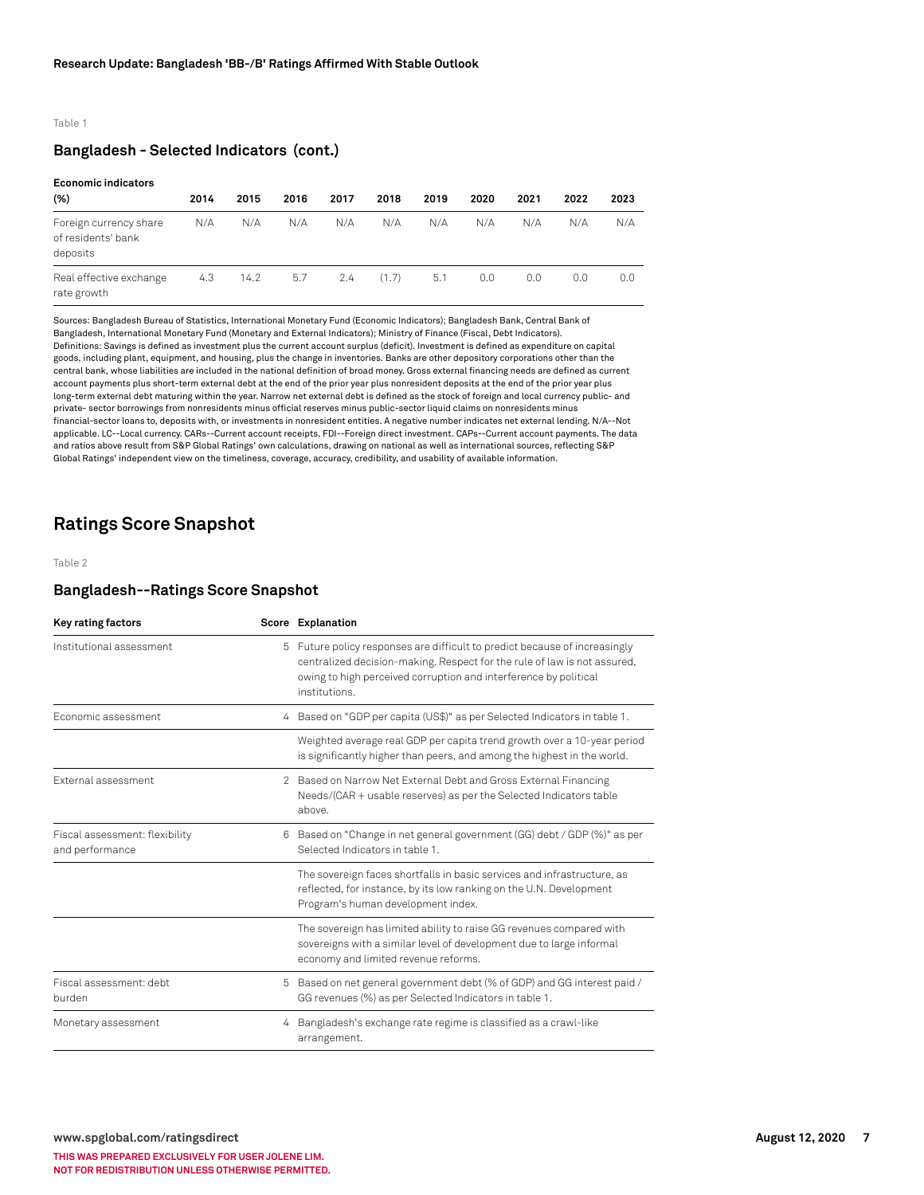#### Table 1

#### **Bangladesh - Selected Indicators (cont.)**

#### **Economic indicators**

| ------------------                                       |      |      |      |      |       |      |      |      |      |      |
|----------------------------------------------------------|------|------|------|------|-------|------|------|------|------|------|
| (%)                                                      | 2014 | 2015 | 2016 | 2017 | 2018  | 2019 | 2020 | 2021 | 2022 | 2023 |
| Foreign currency share<br>of residents' bank<br>deposits | N/A  | N/A  | N/A  | N/A  | N/A   | N/A  | N/A  | N/A  | N/A  | N/A  |
| Real effective exchange<br>rate growth                   | 4.3  | 14.2 | 5.7  | 2.4  | (1.7) | 5.1  | 0.0  | 0.0  | 0.0  | 0.0  |

Sources: Bangladesh Bureau of Statistics, International Monetary Fund (Economic Indicators); Bangladesh Bank, Central Bank of Bangladesh, International Monetary Fund (Monetary and External Indicators); Ministry of Finance (Fiscal, Debt Indicators). Definitions: Savings is defined as investment plus the current account surplus (deficit). Investment is defined as expenditure on capital goods, including plant, equipment, and housing, plus the change in inventories. Banks are other depository corporations other than the central bank, whose liabilities are included in the national definition of broad money. Gross external financing needs are defined as current account payments plus short-term external debt at the end of the prior year plus nonresident deposits at the end of the prior year plus long-term external debt maturing within the year. Narrow net external debt is defined as the stock of foreign and local currency public- and private- sector borrowings from nonresidents minus official reserves minus public-sector liquid claims on nonresidents minus financial-sector loans to, deposits with, or investments in nonresident entities. A negative number indicates net external lending. N/A--Not applicable. LC--Local currency. CARs--Current account receipts. FDI--Foreign direct investment. CAPs--Current account payments. The data and ratios above result from S&P Global Ratings' own calculations, drawing on national as well as international sources, reflecting S&P Global Ratings' independent view on the timeliness, coverage, accuracy, credibility, and usability of available information.

## **Ratings Score Snapshot**

Table 2

#### **Bangladesh--Ratings Score Snapshot**

| Key rating factors                                |   | Score Explanation                                                                                                                                                                                                                         |
|---------------------------------------------------|---|-------------------------------------------------------------------------------------------------------------------------------------------------------------------------------------------------------------------------------------------|
| Institutional assessment                          | 5 | Future policy responses are difficult to predict because of increasingly<br>centralized decision-making. Respect for the rule of law is not assured,<br>owing to high perceived corruption and interference by political<br>institutions. |
| Fconomic assessment                               |   | 4 Based on "GDP per capita (US\$)" as per Selected Indicators in table 1.                                                                                                                                                                 |
|                                                   |   | Weighted average real GDP per capita trend growth over a 10-year period<br>is significantly higher than peers, and among the highest in the world.                                                                                        |
| External assessment                               |   | 2 Based on Narrow Net External Debt and Gross External Financing<br>Needs/(CAR + usable reserves) as per the Selected Indicators table<br>above.                                                                                          |
| Fiscal assessment: flexibility<br>and performance | 6 | Based on "Change in net general government (GG) debt / GDP (%)" as per<br>Selected Indicators in table 1.                                                                                                                                 |
|                                                   |   | The sovereign faces shortfalls in basic services and infrastructure, as<br>reflected, for instance, by its low ranking on the U.N. Development<br>Program's human development index.                                                      |
|                                                   |   | The sovereign has limited ability to raise GG revenues compared with<br>sovereigns with a similar level of development due to large informal<br>economy and limited revenue reforms.                                                      |
| Fiscal assessment: debt<br>burden                 | 5 | Based on net general government debt (% of GDP) and GG interest paid /<br>GG revenues (%) as per Selected Indicators in table 1.                                                                                                          |
| Monetary assessment                               | 4 | Bangladesh's exchange rate regime is classified as a crawl-like<br>arrangement.                                                                                                                                                           |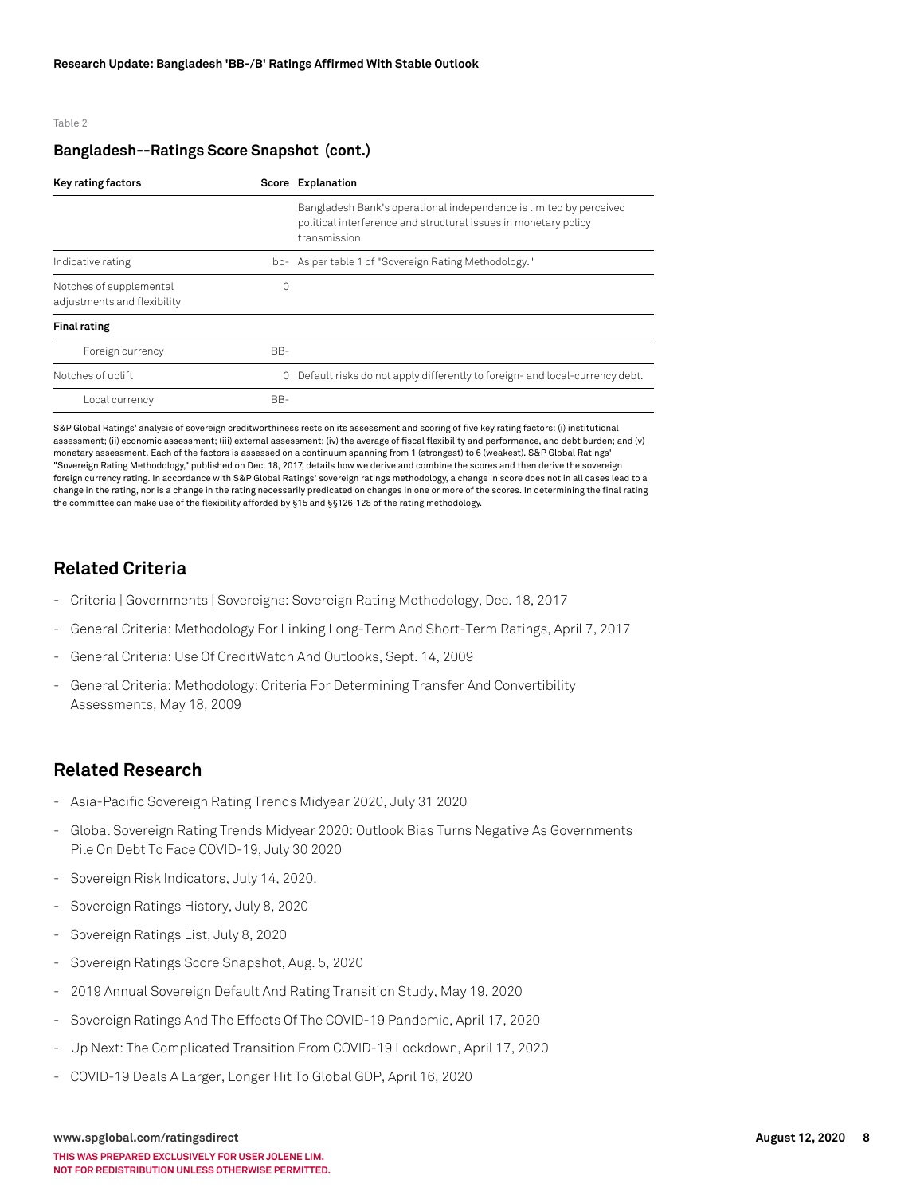#### Table 2

#### **Bangladesh--Ratings Score Snapshot (cont.)**

| Key rating factors                                     | Score Explanation |                                                                                                                                                        |  |  |  |  |
|--------------------------------------------------------|-------------------|--------------------------------------------------------------------------------------------------------------------------------------------------------|--|--|--|--|
|                                                        |                   | Bangladesh Bank's operational independence is limited by perceived<br>political interference and structural issues in monetary policy<br>transmission. |  |  |  |  |
| Indicative rating                                      | bb-               | As per table 1 of "Sovereign Rating Methodology."                                                                                                      |  |  |  |  |
| Notches of supplemental<br>adjustments and flexibility |                   |                                                                                                                                                        |  |  |  |  |
| <b>Final rating</b>                                    |                   |                                                                                                                                                        |  |  |  |  |
| Foreign currency                                       | BB-               |                                                                                                                                                        |  |  |  |  |
| Notches of uplift                                      | 0                 | Default risks do not apply differently to foreign- and local-currency debt.                                                                            |  |  |  |  |
| Local currency                                         | BB-               |                                                                                                                                                        |  |  |  |  |

S&P Global Ratings' analysis of sovereign creditworthiness rests on its assessment and scoring of five key rating factors: (i) institutional assessment; (ii) economic assessment; (iii) external assessment; (iv) the average of fiscal flexibility and performance, and debt burden; and (v) monetary assessment. Each of the factors is assessed on a continuum spanning from 1 (strongest) to 6 (weakest). S&P Global Ratings' "Sovereign Rating Methodology," published on Dec. 18, 2017, details how we derive and combine the scores and then derive the sovereign foreign currency rating. In accordance with S&P Global Ratings' sovereign ratings methodology, a change in score does not in all cases lead to a change in the rating, nor is a change in the rating necessarily predicated on changes in one or more of the scores. In determining the final rating the committee can make use of the flexibility afforded by §15 and §§126-128 of the rating methodology.

## **Related Criteria**

- Criteria | Governments | Sovereigns: Sovereign Rating Methodology, Dec. 18, 2017
- General Criteria: Methodology For Linking Long-Term And Short-Term Ratings, April 7, 2017
- General Criteria: Use Of CreditWatch And Outlooks, Sept. 14, 2009
- General Criteria: Methodology: Criteria For Determining Transfer And Convertibility Assessments, May 18, 2009

### **Related Research**

- Asia-Pacific Sovereign Rating Trends Midyear 2020, July 31 2020
- Global Sovereign Rating Trends Midyear 2020: Outlook Bias Turns Negative As Governments Pile On Debt To Face COVID-19, July 30 2020
- Sovereign Risk Indicators, July 14, 2020.
- Sovereign Ratings History, July 8, 2020
- Sovereign Ratings List, July 8, 2020
- Sovereign Ratings Score Snapshot, Aug. 5, 2020
- 2019 Annual Sovereign Default And Rating Transition Study, May 19, 2020
- Sovereign Ratings And The Effects Of The COVID-19 Pandemic, April 17, 2020
- Up Next: The Complicated Transition From COVID-19 Lockdown, April 17, 2020
- COVID-19 Deals A Larger, Longer Hit To Global GDP, April 16, 2020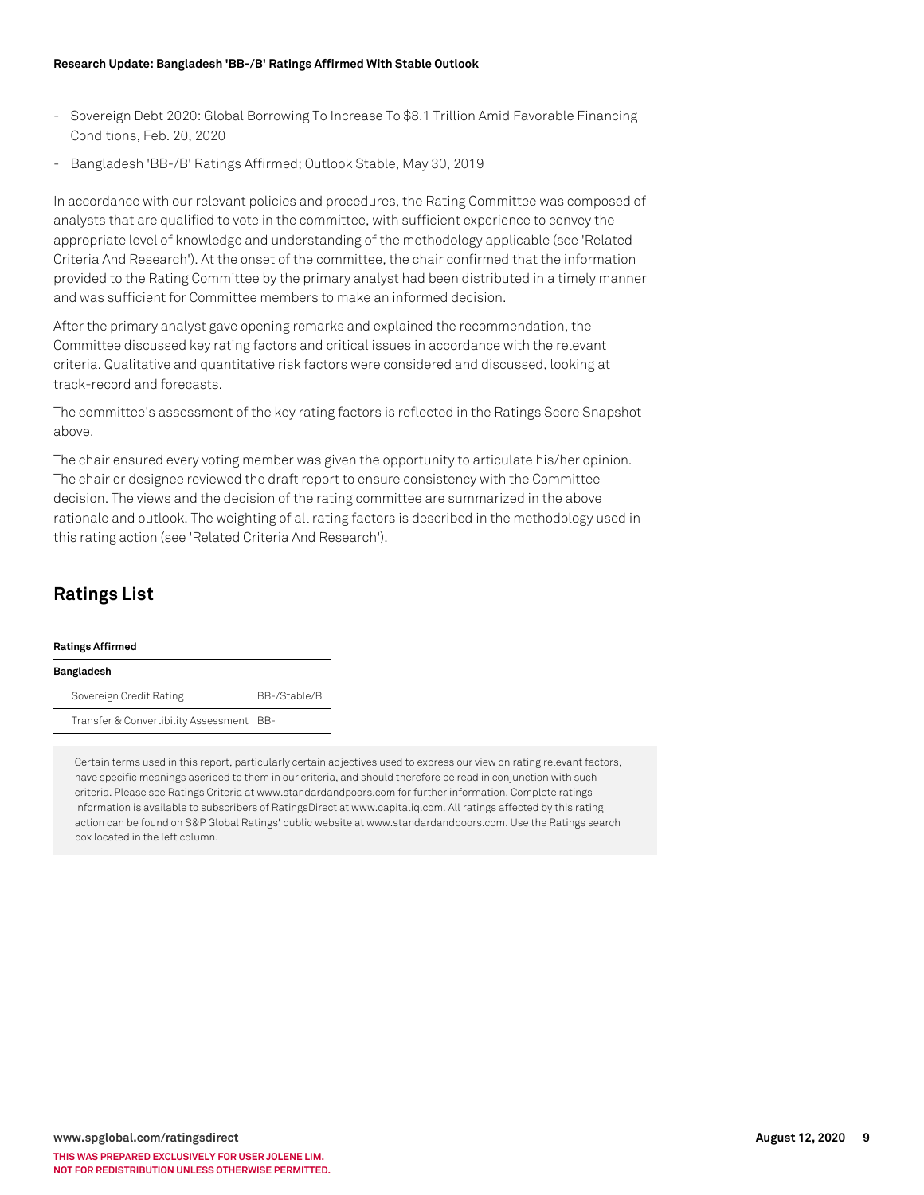- Sovereign Debt 2020: Global Borrowing To Increase To \$8.1 Trillion Amid Favorable Financing Conditions, Feb. 20, 2020
- Bangladesh 'BB-/B' Ratings Affirmed; Outlook Stable, May 30, 2019

In accordance with our relevant policies and procedures, the Rating Committee was composed of analysts that are qualified to vote in the committee, with sufficient experience to convey the appropriate level of knowledge and understanding of the methodology applicable (see 'Related Criteria And Research'). At the onset of the committee, the chair confirmed that the information provided to the Rating Committee by the primary analyst had been distributed in a timely manner and was sufficient for Committee members to make an informed decision.

After the primary analyst gave opening remarks and explained the recommendation, the Committee discussed key rating factors and critical issues in accordance with the relevant criteria. Qualitative and quantitative risk factors were considered and discussed, looking at track-record and forecasts.

The committee's assessment of the key rating factors is reflected in the Ratings Score Snapshot above.

The chair ensured every voting member was given the opportunity to articulate his/her opinion. The chair or designee reviewed the draft report to ensure consistency with the Committee decision. The views and the decision of the rating committee are summarized in the above rationale and outlook. The weighting of all rating factors is described in the methodology used in this rating action (see 'Related Criteria And Research').

## **Ratings List**

#### **Ratings Affirmed**

| Bangladesh                               |              |
|------------------------------------------|--------------|
| Sovereign Credit Rating                  | BB-/Stable/B |
| Transfer & Convertibility Assessment BB- |              |

Certain terms used in this report, particularly certain adjectives used to express our view on rating relevant factors, have specific meanings ascribed to them in our criteria, and should therefore be read in conjunction with such criteria. Please see Ratings Criteria at www.standardandpoors.com for further information. Complete ratings information is available to subscribers of RatingsDirect at www.capitaliq.com. All ratings affected by this rating action can be found on S&P Global Ratings' public website at www.standardandpoors.com. Use the Ratings search box located in the left column.